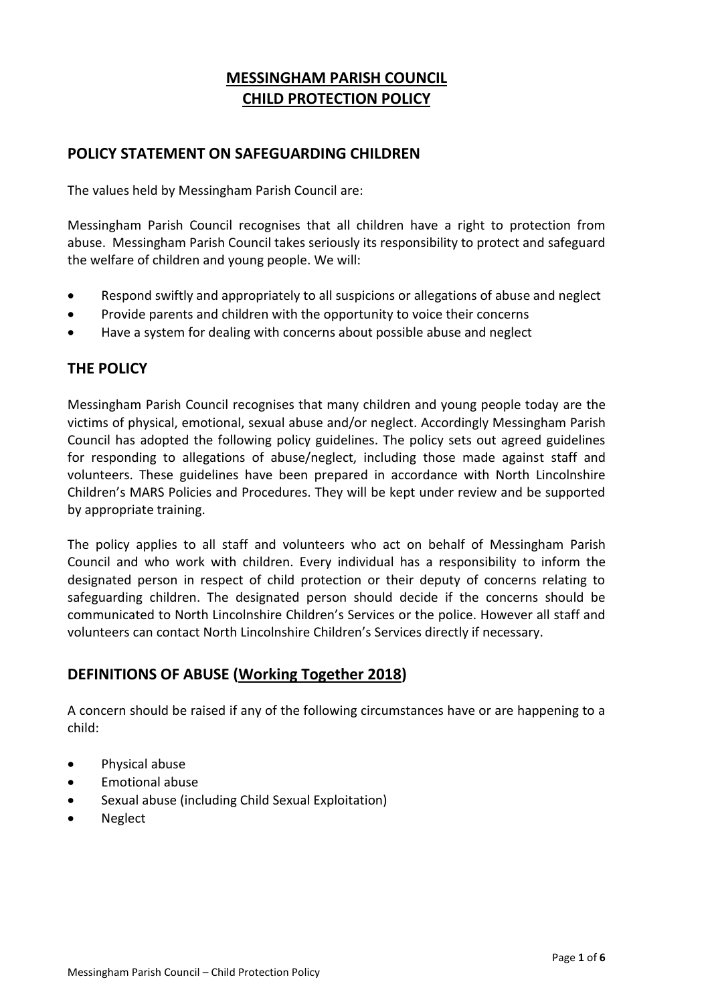# **MESSINGHAM PARISH COUNCIL CHILD PROTECTION POLICY**

# **POLICY STATEMENT ON SAFEGUARDING CHILDREN**

The values held by Messingham Parish Council are:

Messingham Parish Council recognises that all children have a right to protection from abuse. Messingham Parish Council takes seriously its responsibility to protect and safeguard the welfare of children and young people. We will:

- Respond swiftly and appropriately to all suspicions or allegations of abuse and neglect
- Provide parents and children with the opportunity to voice their concerns
- Have a system for dealing with concerns about possible abuse and neglect

# **THE POLICY**

Messingham Parish Council recognises that many children and young people today are the victims of physical, emotional, sexual abuse and/or neglect. Accordingly Messingham Parish Council has adopted the following policy guidelines. The policy sets out agreed guidelines for responding to allegations of abuse/neglect, including those made against staff and volunteers. These guidelines have been prepared in accordance with North Lincolnshire Children's MARS Policies and Procedures. They will be kept under review and be supported by appropriate training.

The policy applies to all staff and volunteers who act on behalf of Messingham Parish Council and who work with children. Every individual has a responsibility to inform the designated person in respect of child protection or their deputy of concerns relating to safeguarding children. The designated person should decide if the concerns should be communicated to North Lincolnshire Children's Services or the police. However all staff and volunteers can contact North Lincolnshire Children's Services directly if necessary.

# **DEFINITIONS OF ABUSE [\(Working Together 2018\)](https://www.gov.uk/government/publications/working-together-to-safeguard-children--2)**

A concern should be raised if any of the following circumstances have or are happening to a child:

- Physical abuse
- Emotional abuse
- Sexual abuse (including Child Sexual Exploitation)
- Neglect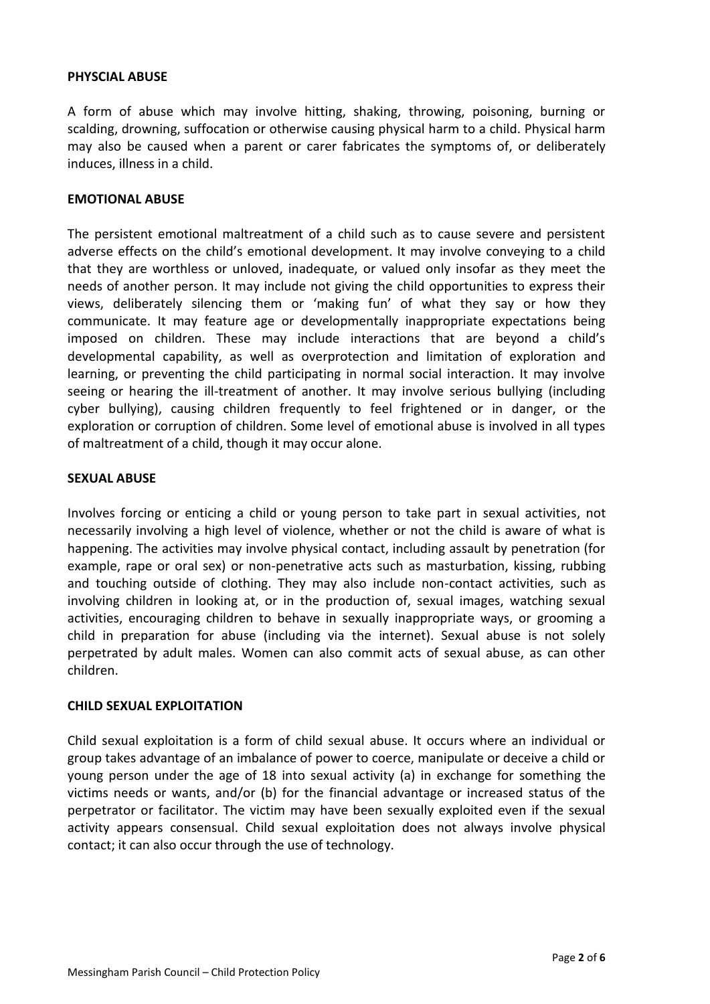### **PHYSCIAL ABUSE**

A form of abuse which may involve hitting, shaking, throwing, poisoning, burning or scalding, drowning, suffocation or otherwise causing physical harm to a child. Physical harm may also be caused when a parent or carer fabricates the symptoms of, or deliberately induces, illness in a child.

### **EMOTIONAL ABUSE**

The persistent emotional maltreatment of a child such as to cause severe and persistent adverse effects on the child's emotional development. It may involve conveying to a child that they are worthless or unloved, inadequate, or valued only insofar as they meet the needs of another person. It may include not giving the child opportunities to express their views, deliberately silencing them or 'making fun' of what they say or how they communicate. It may feature age or developmentally inappropriate expectations being imposed on children. These may include interactions that are beyond a child's developmental capability, as well as overprotection and limitation of exploration and learning, or preventing the child participating in normal social interaction. It may involve seeing or hearing the ill-treatment of another. It may involve serious bullying (including cyber bullying), causing children frequently to feel frightened or in danger, or the exploration or corruption of children. Some level of emotional abuse is involved in all types of maltreatment of a child, though it may occur alone.

### **SEXUAL ABUSE**

Involves forcing or enticing a child or young person to take part in sexual activities, not necessarily involving a high level of violence, whether or not the child is aware of what is happening. The activities may involve physical contact, including assault by penetration (for example, rape or oral sex) or non-penetrative acts such as masturbation, kissing, rubbing and touching outside of clothing. They may also include non-contact activities, such as involving children in looking at, or in the production of, sexual images, watching sexual activities, encouraging children to behave in sexually inappropriate ways, or grooming a child in preparation for abuse (including via the internet). Sexual abuse is not solely perpetrated by adult males. Women can also commit acts of sexual abuse, as can other children.

#### **CHILD SEXUAL EXPLOITATION**

Child sexual exploitation is a form of child sexual abuse. It occurs where an individual or group takes advantage of an imbalance of power to coerce, manipulate or deceive a child or young person under the age of 18 into sexual activity (a) in exchange for something the victims needs or wants, and/or (b) for the financial advantage or increased status of the perpetrator or facilitator. The victim may have been sexually exploited even if the sexual activity appears consensual. Child sexual exploitation does not always involve physical contact; it can also occur through the use of technology.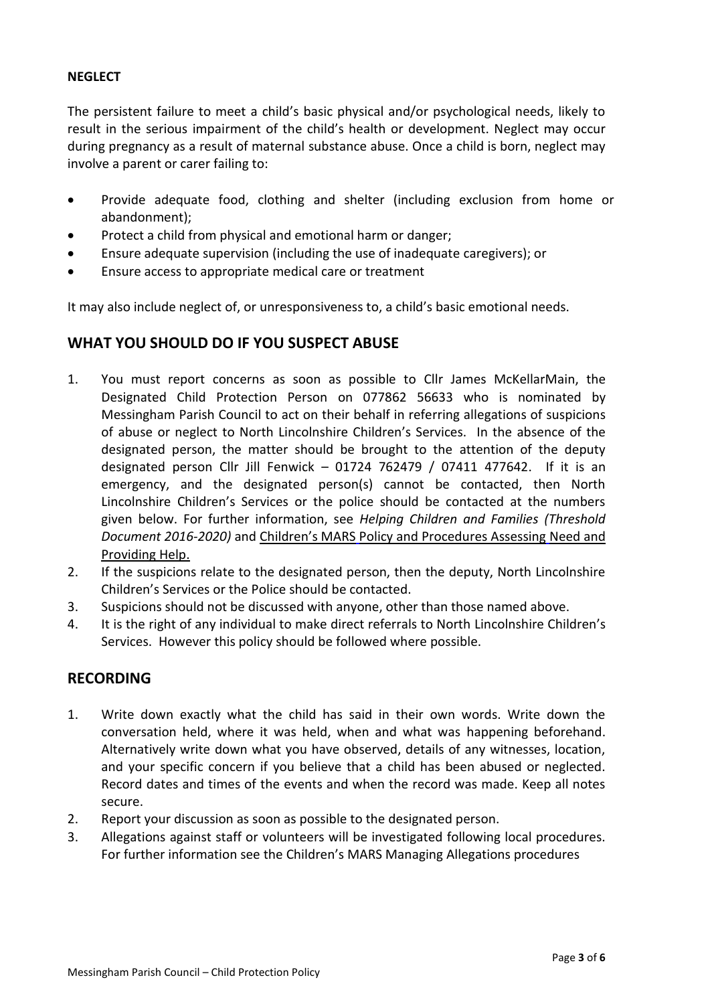## **NEGLECT**

The persistent failure to meet a child's basic physical and/or psychological needs, likely to result in the serious impairment of the child's health or development. Neglect may occur during pregnancy as a result of maternal substance abuse. Once a child is born, neglect may involve a parent or carer failing to:

- Provide adequate food, clothing and shelter (including exclusion from home or abandonment);
- Protect a child from physical and emotional harm or danger;
- Ensure adequate supervision (including the use of inadequate caregivers); or
- Ensure access to appropriate medical care or treatment

It may also include neglect of, or unresponsiveness to, a child's basic emotional needs.

# **WHAT YOU SHOULD DO IF YOU SUSPECT ABUSE**

- 1. You must report concerns as soon as possible to Cllr James McKellarMain, the Designated Child Protection Person on 077862 56633 who is nominated by Messingham Parish Council to act on their behalf in referring allegations of suspicions of abuse or neglect to North Lincolnshire Children's Services. In the absence of the designated person, the matter should be brought to the attention of the deputy designated person Cllr Jill Fenwick – 01724 762479 / 07411 477642. If it is an emergency, and the designated person(s) cannot be contacted, then North Lincolnshire Children's Services or the police should be contacted at the numbers given below. For further information, see *[Helping Children and Families \(Threshold](http://www.northlincscmars.co.uk/wp-content/uploads/2018/10/Helping-Children-Families-revised-Oct-2018-final.pdf)  [Document](http://www.northlincscmars.co.uk/wp-content/uploads/2018/10/Helping-Children-Families-revised-Oct-2018-final.pdf) [2016-2020\)](http://www.northlincscmars.co.uk/wp-content/uploads/2018/10/Helping-Children-Families-revised-Oct-2018-final.pdf)* and Children's MARS [Policy and Procedures Assessing](http://www.northlincscmars.co.uk/wp-content/uploads/2018/10/MARS-Policy-and-Procedures-Assessing-Need-and-Providing-Help.pdf) [Need and](http://www.northlincscmars.co.uk/wp-content/uploads/2018/10/MARS-Policy-and-Procedures-Assessing-Need-and-Providing-Help.pdf)  [Providing Help.](http://www.northlincscmars.co.uk/wp-content/uploads/2018/10/MARS-Policy-and-Procedures-Assessing-Need-and-Providing-Help.pdf)
- 2. If the suspicions relate to the designated person, then the deputy, North Lincolnshire Children's Services or the Police should be contacted.
- 3. Suspicions should not be discussed with anyone, other than those named above.
- 4. It is the right of any individual to make direct referrals to North Lincolnshire Children's Services. However this policy should be followed where possible.

# **RECORDING**

- 1. Write down exactly what the child has said in their own words. Write down the conversation held, where it was held, when and what was happening beforehand. Alternatively write down what you have observed, details of any witnesses, location, and your specific concern if you believe that a child has been abused or neglected. Record dates and times of the events and when the record was made. Keep all notes secure.
- 2. Report your discussion as soon as possible to the designated person.
- 3. Allegations against staff or volunteers will be investigated following local procedures. For further information see the Children's MARS Managing Allegations procedures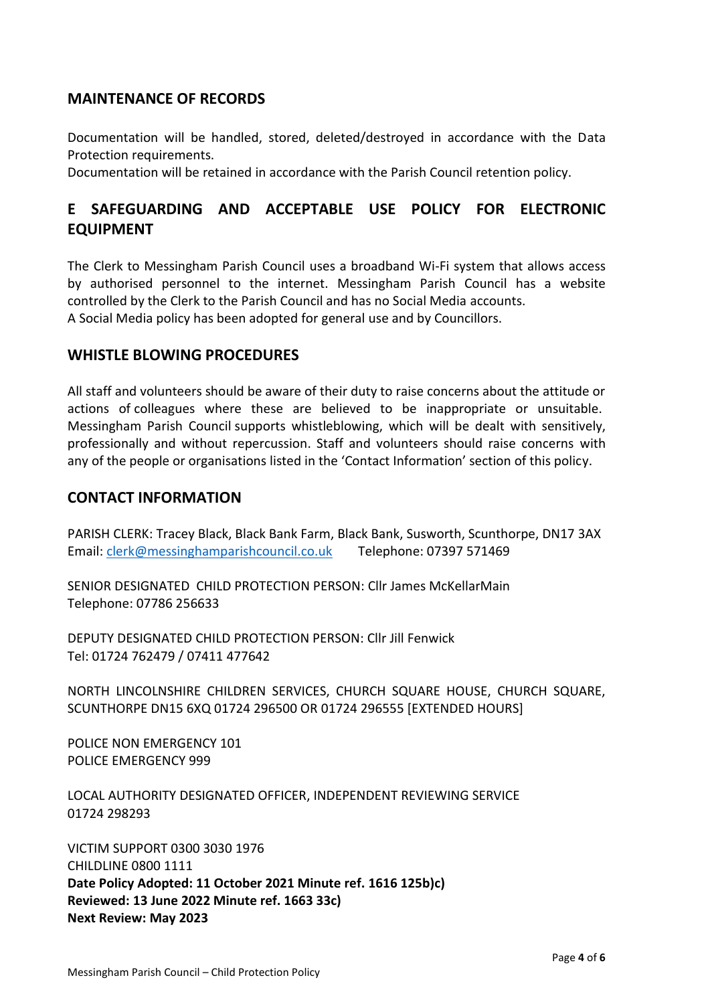# **MAINTENANCE OF RECORDS**

Documentation will be handled, stored, deleted/destroyed in accordance with the Data Protection requirements.

Documentation will be retained in accordance with the Parish Council retention policy.

# **E SAFEGUARDING AND ACCEPTABLE USE POLICY FOR ELECTRONIC EQUIPMENT**

The Clerk to Messingham Parish Council uses a broadband Wi-Fi system that allows access by authorised personnel to the internet. Messingham Parish Council has a website controlled by the Clerk to the Parish Council and has no Social Media accounts. A Social Media policy has been adopted for general use and by Councillors.

## **WHISTLE BLOWING PROCEDURES**

All staff and volunteers should be aware of their duty to raise concerns about the attitude or actions of colleagues where these are believed to be inappropriate or unsuitable. Messingham Parish Council supports whistleblowing, which will be dealt with sensitively, professionally and without repercussion. Staff and volunteers should raise concerns with any of the people or organisations listed in the 'Contact Information' section of this policy.

# **CONTACT INFORMATION**

PARISH CLERK: Tracey Black, Black Bank Farm, Black Bank, Susworth, Scunthorpe, DN17 3AX Email: [clerk@messinghamparishcouncil.co.uk](mailto:clerk@messinghamparishcouncil.co.uk) Telephone: 07397 571469

SENIOR DESIGNATED CHILD PROTECTION PERSON: Cllr James McKellarMain Telephone: 07786 256633

DEPUTY DESIGNATED CHILD PROTECTION PERSON: Cllr Jill Fenwick Tel: 01724 762479 / 07411 477642

NORTH LINCOLNSHIRE CHILDREN SERVICES, CHURCH SQUARE HOUSE, CHURCH SQUARE, SCUNTHORPE DN15 6XQ 01724 296500 OR 01724 296555 [EXTENDED HOURS]

POLICE NON EMERGENCY 101 POLICE EMERGENCY 999

LOCAL AUTHORITY DESIGNATED OFFICER, INDEPENDENT REVIEWING SERVICE 01724 298293

VICTIM SUPPORT 0300 3030 1976 CHILDLINE 0800 1111 **Date Policy Adopted: 11 October 2021 Minute ref. 1616 125b)c) Reviewed: 13 June 2022 Minute ref. 1663 33c) Next Review: May 2023**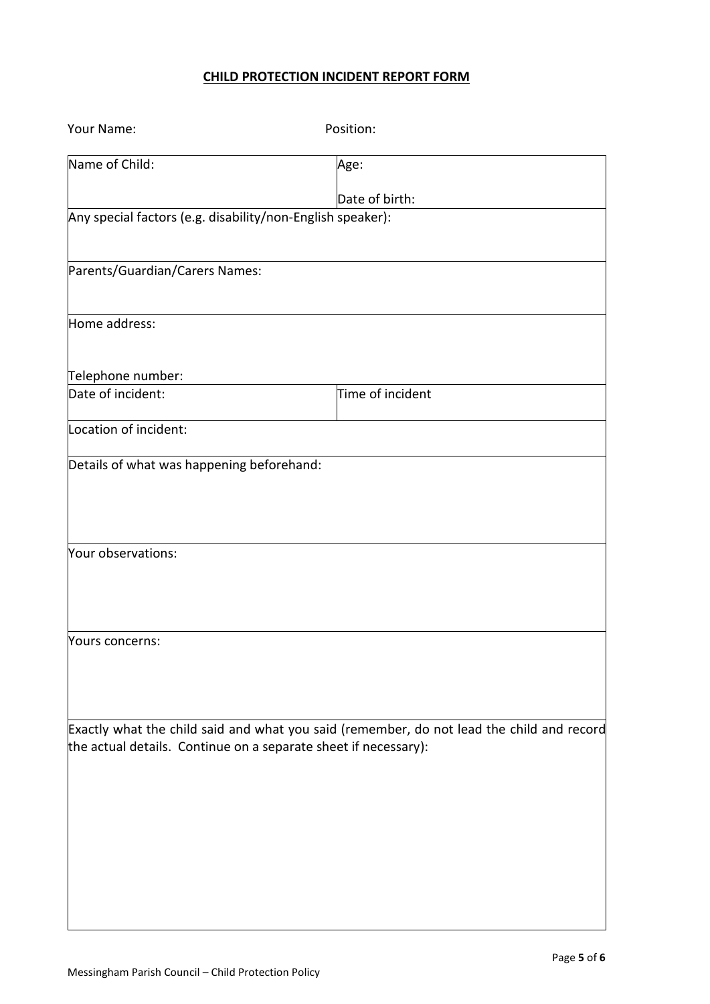# **CHILD PROTECTION INCIDENT REPORT FORM**

| Your Name:                                                      | Position:                                                                                 |
|-----------------------------------------------------------------|-------------------------------------------------------------------------------------------|
| Name of Child:                                                  | Age:                                                                                      |
|                                                                 | Date of birth:                                                                            |
| Any special factors (e.g. disability/non-English speaker):      |                                                                                           |
|                                                                 |                                                                                           |
| Parents/Guardian/Carers Names:                                  |                                                                                           |
|                                                                 |                                                                                           |
| Home address:                                                   |                                                                                           |
|                                                                 |                                                                                           |
| Telephone number:<br>Date of incident:                          | Time of incident                                                                          |
|                                                                 |                                                                                           |
| Location of incident:                                           |                                                                                           |
| Details of what was happening beforehand:                       |                                                                                           |
|                                                                 |                                                                                           |
|                                                                 |                                                                                           |
| Your observations:                                              |                                                                                           |
|                                                                 |                                                                                           |
|                                                                 |                                                                                           |
| Yours concerns:                                                 |                                                                                           |
|                                                                 |                                                                                           |
|                                                                 |                                                                                           |
|                                                                 | Exactly what the child said and what you said (remember, do not lead the child and record |
| the actual details. Continue on a separate sheet if necessary): |                                                                                           |
|                                                                 |                                                                                           |
|                                                                 |                                                                                           |
|                                                                 |                                                                                           |
|                                                                 |                                                                                           |
|                                                                 |                                                                                           |
|                                                                 |                                                                                           |